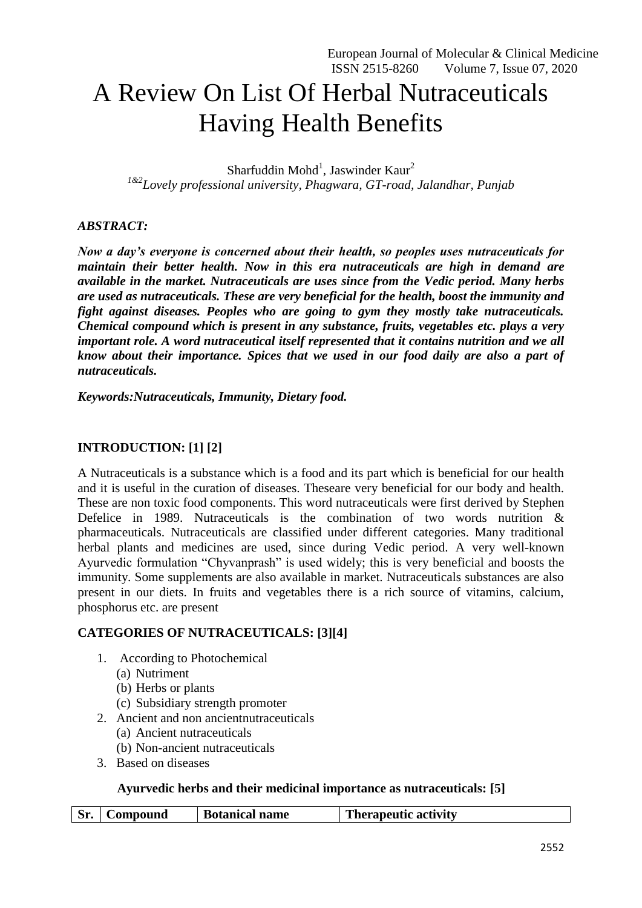# A Review On List Of Herbal Nutraceuticals Having Health Benefits

Sharfuddin Mohd<sup>1</sup>, Jaswinder Kaur<sup>2</sup> *1&2Lovely professional university, Phagwara, GT-road, Jalandhar, Punjab*

## *ABSTRACT:*

*Now a day's everyone is concerned about their health, so peoples uses nutraceuticals for maintain their better health. Now in this era nutraceuticals are high in demand are available in the market. Nutraceuticals are uses since from the Vedic period. Many herbs are used as nutraceuticals. These are very beneficial for the health, boost the immunity and fight against diseases. Peoples who are going to gym they mostly take nutraceuticals. Chemical compound which is present in any substance, fruits, vegetables etc. plays a very important role. A word nutraceutical itself represented that it contains nutrition and we all know about their importance. Spices that we used in our food daily are also a part of nutraceuticals.* 

*Keywords:Nutraceuticals, Immunity, Dietary food.*

### **INTRODUCTION: [1] [2]**

A Nutraceuticals is a substance which is a food and its part which is beneficial for our health and it is useful in the curation of diseases. Theseare very beneficial for our body and health. These are non toxic food components. This word nutraceuticals were first derived by Stephen Defelice in 1989. Nutraceuticals is the combination of two words nutrition & pharmaceuticals. Nutraceuticals are classified under different categories. Many traditional herbal plants and medicines are used, since during Vedic period. A very well-known Ayurvedic formulation "Chyvanprash" is used widely; this is very beneficial and boosts the immunity. Some supplements are also available in market. Nutraceuticals substances are also present in our diets. In fruits and vegetables there is a rich source of vitamins, calcium, phosphorus etc. are present

#### **CATEGORIES OF NUTRACEUTICALS: [3][4]**

- 1. According to Photochemical
	- (a) Nutriment
	- (b) Herbs or plants
	- (c) Subsidiary strength promoter
- 2. Ancient and non ancientnutraceuticals
	- (a) Ancient nutraceuticals
	- (b) Non-ancient nutraceuticals
- 3. Based on diseases

## **Ayurvedic herbs and their medicinal importance as nutraceuticals: [5]**

| <b>Therapeutic activity</b><br>Sr.<br><b>Botanical name</b><br>'ompound |
|-------------------------------------------------------------------------|
|-------------------------------------------------------------------------|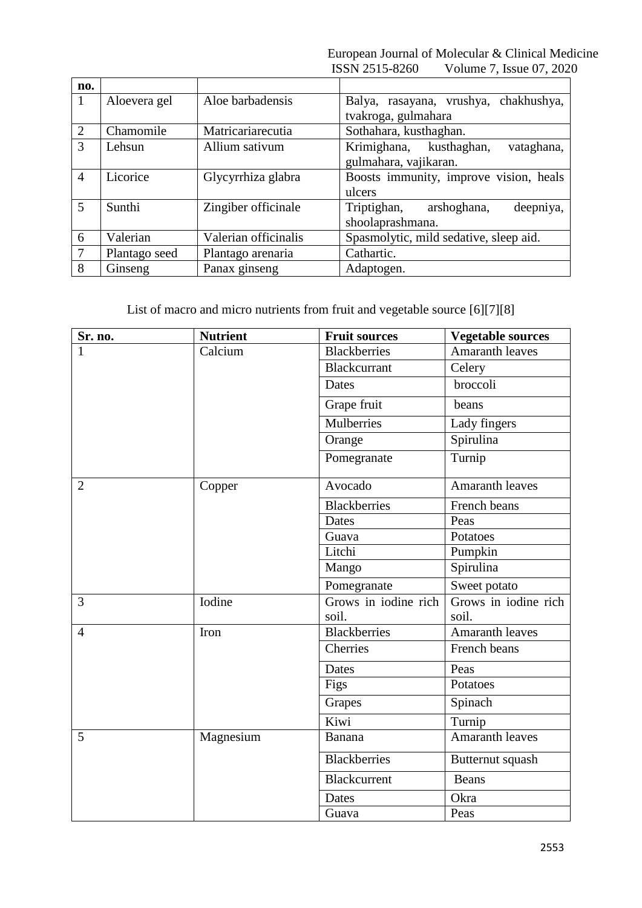European Journal of Molecular & Clinical Medicine ISSN 2515-8260 Volume 7, Issue 07, 2020

| no.            |               |                      |                                                                |
|----------------|---------------|----------------------|----------------------------------------------------------------|
| -1             | Aloevera gel  | Aloe barbadensis     | chakhushya,<br>Balya, rasayana, vrushya,                       |
|                |               |                      | tvakroga, gulmahara                                            |
| $\overline{2}$ | Chamomile     | Matricariarecutia    | Sothahara, kusthaghan.                                         |
| 3              | Lehsun        | Allium sativum       | Krimighana, kusthaghan,<br>vataghana,<br>gulmahara, vajikaran. |
| $\overline{4}$ | Licorice      | Glycyrrhiza glabra   | Boosts immunity, improve vision, heals<br>ulcers               |
| 5              | Sunthi        | Zingiber officinale  | deepniya,<br>Triptighan,<br>arshoghana,<br>shoolaprashmana.    |
| 6              | Valerian      | Valerian officinalis | Spasmolytic, mild sedative, sleep aid.                         |
| $\overline{7}$ | Plantago seed | Plantago arenaria    | Cathartic.                                                     |
| 8              | Ginseng       | Panax ginseng        | Adaptogen.                                                     |

List of macro and micro nutrients from fruit and vegetable source [6][7][8]

| Sr. no.        | <b>Nutrient</b> | <b>Fruit sources</b> | <b>Vegetable sources</b> |
|----------------|-----------------|----------------------|--------------------------|
| 1              | Calcium         | <b>Blackberries</b>  | <b>Amaranth leaves</b>   |
|                |                 | <b>Blackcurrant</b>  | Celery                   |
|                |                 | Dates                | broccoli                 |
|                |                 | Grape fruit          | beans                    |
|                |                 | Mulberries           | Lady fingers             |
|                |                 | Orange               | Spirulina                |
|                |                 | Pomegranate          | Turnip                   |
| $\overline{2}$ | Copper          | Avocado              | <b>Amaranth leaves</b>   |
|                |                 | Blackberries         | French beans             |
|                |                 | Dates                | Peas                     |
|                |                 | Guava                | Potatoes                 |
|                |                 | Litchi               | Pumpkin                  |
|                |                 | Mango                | Spirulina                |
|                |                 | Pomegranate          | Sweet potato             |
| 3              | Iodine          | Grows in iodine rich | Grows in iodine rich     |
|                |                 | soil.                | soil.                    |
| $\overline{4}$ | Iron            | <b>Blackberries</b>  | <b>Amaranth leaves</b>   |
|                |                 | Cherries             | French beans             |
|                |                 | Dates                | Peas                     |
|                |                 | Figs                 | Potatoes                 |
|                |                 | Grapes               | Spinach                  |
|                |                 | Kiwi                 | Turnip                   |
| 5              | Magnesium       | Banana               | <b>Amaranth leaves</b>   |
|                |                 | Blackberries         | Butternut squash         |
|                |                 | Blackcurrent         | Beans                    |
|                |                 | Dates                | Okra                     |
|                |                 | Guava                | Peas                     |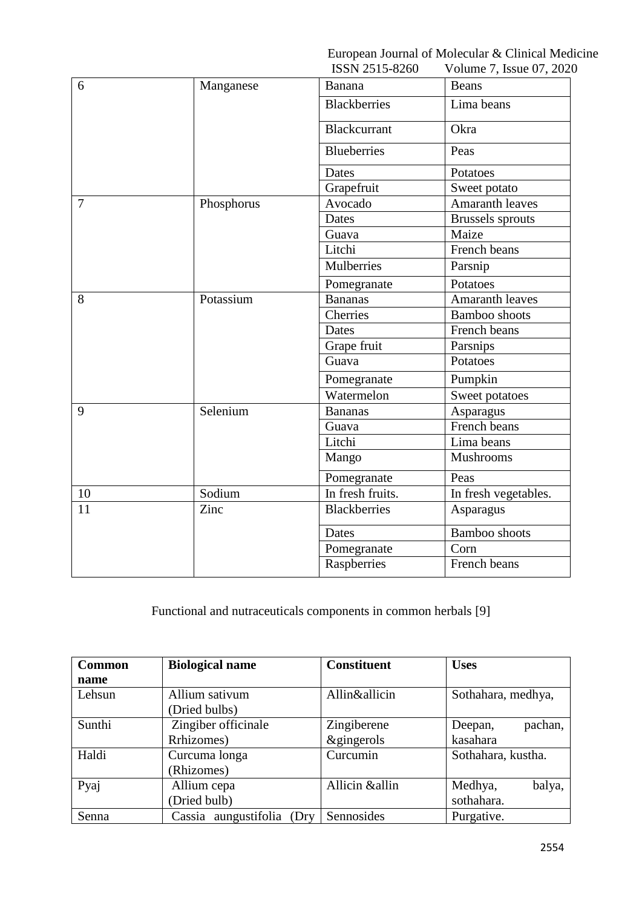European Journal of Molecular & Clinical Medicine

|        |            | ISSN 2515-8260      | Volume 7, Issue 07, 2020 |
|--------|------------|---------------------|--------------------------|
| 6      | Manganese  | Banana              | Beans                    |
|        |            | <b>Blackberries</b> | Lima beans               |
|        |            | <b>Blackcurrant</b> | Okra                     |
|        |            | <b>Blueberries</b>  | Peas                     |
|        |            | Dates               | Potatoes                 |
|        |            | Grapefruit          | Sweet potato             |
| $\tau$ | Phosphorus | Avocado             | Amaranth leaves          |
|        |            | Dates               | <b>Brussels</b> sprouts  |
|        |            | Guava               | Maize                    |
|        |            | Litchi              | French beans             |
|        |            | Mulberries          | Parsnip                  |
|        |            | Pomegranate         | Potatoes                 |
| 8      | Potassium  | <b>Bananas</b>      | Amaranth leaves          |
|        |            | Cherries            | Bamboo shoots            |
|        |            | Dates               | French beans             |
|        |            | Grape fruit         | Parsnips                 |
|        |            | Guava               | Potatoes                 |
|        |            | Pomegranate         | Pumpkin                  |
|        |            | Watermelon          | Sweet potatoes           |
| 9      | Selenium   | <b>Bananas</b>      | Asparagus                |
|        |            | Guava               | French beans             |
|        |            | Litchi              | Lima beans               |
|        |            | Mango               | Mushrooms                |
|        |            | Pomegranate         | Peas                     |
| 10     | Sodium     | In fresh fruits.    | In fresh vegetables.     |
| 11     | Zinc       | <b>Blackberries</b> | Asparagus                |
|        |            | Dates               | Bamboo shoots            |
|        |            | Pomegranate         | Corn                     |
|        |            | Raspberries         | French beans             |

Functional and nutraceuticals components in common herbals [9]

| <b>Common</b> | <b>Biological name</b>        | <b>Constituent</b>    | <b>Uses</b>        |
|---------------|-------------------------------|-----------------------|--------------------|
| name          |                               |                       |                    |
| Lehsun        | Allium sativum                | Allin&allicin         | Sothahara, medhya, |
|               | (Dried bulbs)                 |                       |                    |
| Sunthi        | Zingiber officinale           | Zingiberene           | pachan,<br>Deepan, |
|               | Rrhizomes)                    | <i>&amp;gingerols</i> | kasahara           |
| Haldi         | Curcuma longa                 | Curcumin              | Sothahara, kustha. |
|               | (Rhizomes)                    |                       |                    |
| Pyaj          | Allium cepa                   | Allicin &allin        | Medhya,<br>balya,  |
|               | (Dried bulb)                  |                       | sothahara.         |
| Senna         | Cassia aungustifolia<br>(Dry) | Sennosides            | Purgative.         |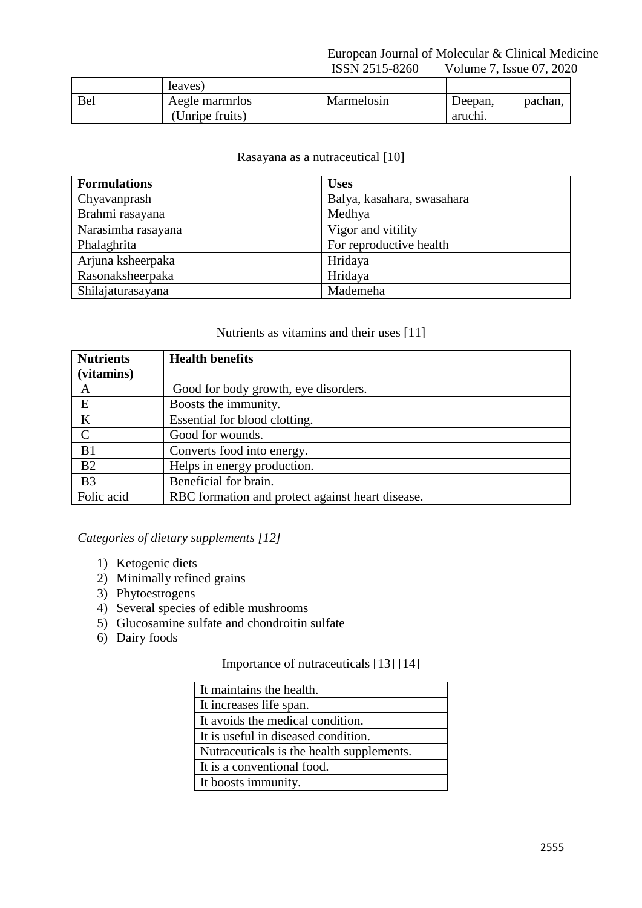### European Journal of Molecular & Clinical Medicine ISSN 2515-8260 Volume 7, Issue 07, 2020

|            | leaves)         |            |         |         |
|------------|-----------------|------------|---------|---------|
| <b>Bel</b> | Aegle marmrlos  | Marmelosin | Deepan, | pachan, |
|            | (Unripe fruits) |            | aruchi. |         |

## Rasayana as a nutraceutical [10]

| <b>Formulations</b> | <b>Uses</b>                |
|---------------------|----------------------------|
| Chyavanprash        | Balya, kasahara, swasahara |
| Brahmi rasayana     | Medhya                     |
| Narasimha rasayana  | Vigor and vitility         |
| Phalaghrita         | For reproductive health    |
| Arjuna ksheerpaka   | Hridaya                    |
| Rasonaksheerpaka    | Hridaya                    |
| Shilajaturasayana   | Mademeha                   |

#### Nutrients as vitamins and their uses [11]

| <b>Nutrients</b> | <b>Health benefits</b>                           |
|------------------|--------------------------------------------------|
| (vitamins)       |                                                  |
| A                | Good for body growth, eye disorders.             |
| E                | Boosts the immunity.                             |
| $\bf K$          | Essential for blood clotting.                    |
| $\mathcal{C}$    | Good for wounds.                                 |
| B1               | Converts food into energy.                       |
| B2               | Helps in energy production.                      |
| B <sub>3</sub>   | Beneficial for brain.                            |
| Folic acid       | RBC formation and protect against heart disease. |

## *Categories of dietary supplements [12]*

- 1) Ketogenic diets
- 2) Minimally refined grains
- 3) Phytoestrogens
- 4) Several species of edible mushrooms
- 5) Glucosamine sulfate and chondroitin sulfate
- 6) Dairy foods

## Importance of nutraceuticals [13] [14]

| It maintains the health.                  |
|-------------------------------------------|
| It increases life span.                   |
| It avoids the medical condition.          |
| It is useful in diseased condition.       |
| Nutraceuticals is the health supplements. |
| It is a conventional food.                |
| It boosts immunity.                       |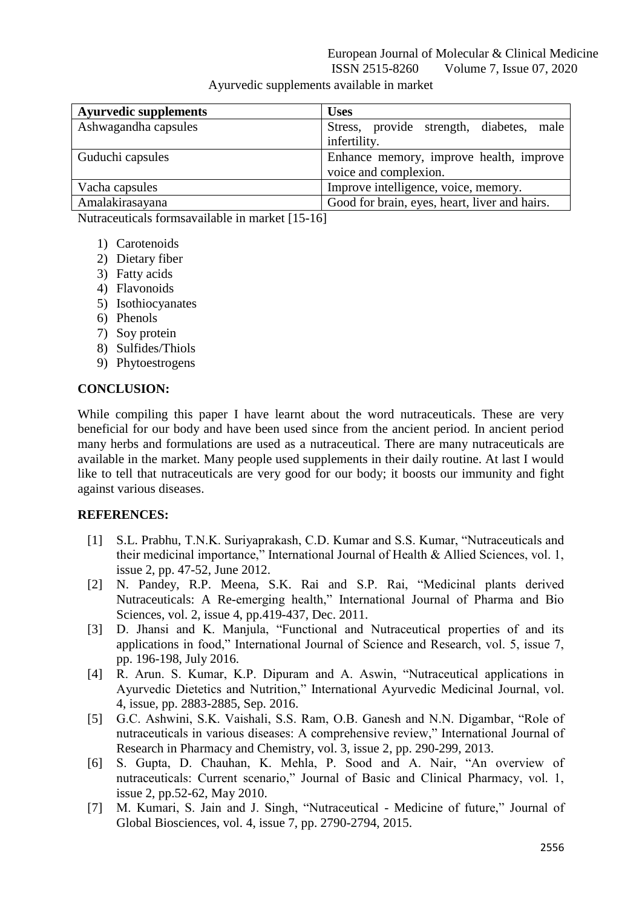| <b>Ayurvedic supplements</b> | <b>Uses</b>                                   |
|------------------------------|-----------------------------------------------|
| Ashwagandha capsules         | Stress, provide strength, diabetes, male      |
|                              | infertility.                                  |
| Guduchi capsules             | Enhance memory, improve health, improve       |
|                              | voice and complexion.                         |
| Vacha capsules               | Improve intelligence, voice, memory.          |
| Amalakirasayana              | Good for brain, eyes, heart, liver and hairs. |

Ayurvedic supplements available in market

Nutraceuticals formsavailable in market [15-16]

- 1) Carotenoids
- 2) Dietary fiber
- 3) Fatty acids
- 4) Flavonoids
- 5) Isothiocyanates
- 6) Phenols
- 7) Soy protein
- 8) Sulfides/Thiols
- 9) Phytoestrogens

#### **CONCLUSION:**

While compiling this paper I have learnt about the word nutraceuticals. These are very beneficial for our body and have been used since from the ancient period. In ancient period many herbs and formulations are used as a nutraceutical. There are many nutraceuticals are available in the market. Many people used supplements in their daily routine. At last I would like to tell that nutraceuticals are very good for our body; it boosts our immunity and fight against various diseases.

#### **REFERENCES:**

- [1] S.L. Prabhu, T.N.K. Suriyaprakash, C.D. Kumar and S.S. Kumar, "Nutraceuticals and their medicinal importance," International Journal of Health & Allied Sciences, vol. 1, issue 2, pp. 47-52, June 2012.
- [2] N. Pandey, R.P. Meena, S.K. Rai and S.P. Rai, "Medicinal plants derived Nutraceuticals: A Re-emerging health," International Journal of Pharma and Bio Sciences, vol. 2, issue 4, pp.419-437, Dec. 2011.
- [3] D. Jhansi and K. Manjula, "Functional and Nutraceutical properties of and its applications in food," International Journal of Science and Research, vol. 5, issue 7, pp. 196-198, July 2016.
- [4] R. Arun. S. Kumar, K.P. Dipuram and A. Aswin, "Nutraceutical applications in Ayurvedic Dietetics and Nutrition," International Ayurvedic Medicinal Journal, vol. 4, issue, pp. 2883-2885, Sep. 2016.
- [5] G.C. Ashwini, S.K. Vaishali, S.S. Ram, O.B. Ganesh and N.N. Digambar, "Role of nutraceuticals in various diseases: A comprehensive review," International Journal of Research in Pharmacy and Chemistry, vol. 3, issue 2, pp. 290-299, 2013.
- [6] S. Gupta, D. Chauhan, K. Mehla, P. Sood and A. Nair, "An overview of nutraceuticals: Current scenario," Journal of Basic and Clinical Pharmacy, vol. 1, issue 2, pp.52-62, May 2010.
- [7] M. Kumari, S. Jain and J. Singh, "Nutraceutical Medicine of future," Journal of Global Biosciences, vol. 4, issue 7, pp. 2790-2794, 2015.